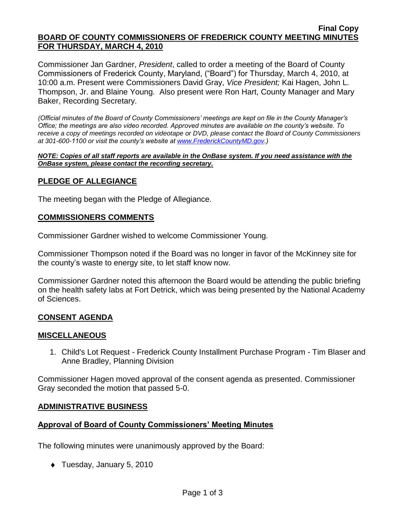#### **Final Copy BOARD OF COUNTY COMMISSIONERS OF FREDERICK COUNTY MEETING MINUTES FOR THURSDAY, MARCH 4, 2010**

Commissioner Jan Gardner, *President*, called to order a meeting of the Board of County Commissioners of Frederick County, Maryland, ("Board") for Thursday, March 4, 2010, at 10:00 a.m. Present were Commissioners David Gray, *Vice President;* Kai Hagen, John L. Thompson, Jr. and Blaine Young. Also present were Ron Hart, County Manager and Mary Baker, Recording Secretary.

*(Official minutes of the Board of County Commissioners' meetings are kept on file in the County Manager's Office; the meetings are also video recorded. Approved minutes are available on the county's website. To receive a copy of meetings recorded on videotape or DVD, please contact the Board of County Commissioners at 301-600-1100 or visit the county's website at [www.FrederickCountyMD.gov.](http://www.frederickcountymd.gov/))*

*NOTE: Copies of all staff reports are available in the OnBase system. If you need assistance with the OnBase system, please contact the recording secretary.*

## **PLEDGE OF ALLEGIANCE**

The meeting began with the Pledge of Allegiance.

### **COMMISSIONERS COMMENTS**

Commissioner Gardner wished to welcome Commissioner Young.

Commissioner Thompson noted if the Board was no longer in favor of the McKinney site for the county's waste to energy site, to let staff know now.

Commissioner Gardner noted this afternoon the Board would be attending the public briefing on the health safety labs at Fort Detrick, which was being presented by the National Academy of Sciences.

## **CONSENT AGENDA**

### **MISCELLANEOUS**

1. Child's Lot Request - Frederick County Installment Purchase Program - Tim Blaser and Anne Bradley, Planning Division

Commissioner Hagen moved approval of the consent agenda as presented. Commissioner Gray seconded the motion that passed 5-0.

### **ADMINISTRATIVE BUSINESS**

### **Approval of Board of County Commissioners' Meeting Minutes**

The following minutes were unanimously approved by the Board:

Tuesday, January 5, 2010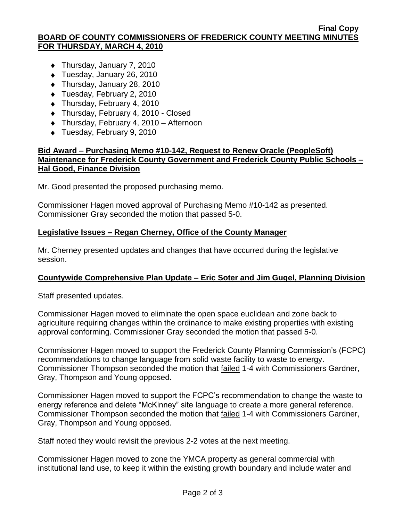#### **Final Copy BOARD OF COUNTY COMMISSIONERS OF FREDERICK COUNTY MEETING MINUTES FOR THURSDAY, MARCH 4, 2010**

- ◆ Thursday, January 7, 2010
- ◆ Tuesday, January 26, 2010
- ◆ Thursday, January 28, 2010
- ◆ Tuesday, February 2, 2010
- ◆ Thursday, February 4, 2010
- ◆ Thursday, February 4, 2010 Closed
- Thursday, February 4, 2010 Afternoon
- ◆ Tuesday, February 9, 2010

## **Bid Award – Purchasing Memo #10-142, Request to Renew Oracle (PeopleSoft) Maintenance for Frederick County Government and Frederick County Public Schools – Hal Good, Finance Division**

Mr. Good presented the proposed purchasing memo.

Commissioner Hagen moved approval of Purchasing Memo #10-142 as presented. Commissioner Gray seconded the motion that passed 5-0.

## **Legislative Issues – Regan Cherney, Office of the County Manager**

Mr. Cherney presented updates and changes that have occurred during the legislative session.

## **Countywide Comprehensive Plan Update – Eric Soter and Jim Gugel, Planning Division**

Staff presented updates.

Commissioner Hagen moved to eliminate the open space euclidean and zone back to agriculture requiring changes within the ordinance to make existing properties with existing approval conforming. Commissioner Gray seconded the motion that passed 5-0.

Commissioner Hagen moved to support the Frederick County Planning Commission's (FCPC) recommendations to change language from solid waste facility to waste to energy. Commissioner Thompson seconded the motion that failed 1-4 with Commissioners Gardner, Gray, Thompson and Young opposed.

Commissioner Hagen moved to support the FCPC's recommendation to change the waste to energy reference and delete "McKinney" site language to create a more general reference. Commissioner Thompson seconded the motion that failed 1-4 with Commissioners Gardner, Gray, Thompson and Young opposed.

Staff noted they would revisit the previous 2-2 votes at the next meeting.

Commissioner Hagen moved to zone the YMCA property as general commercial with institutional land use, to keep it within the existing growth boundary and include water and